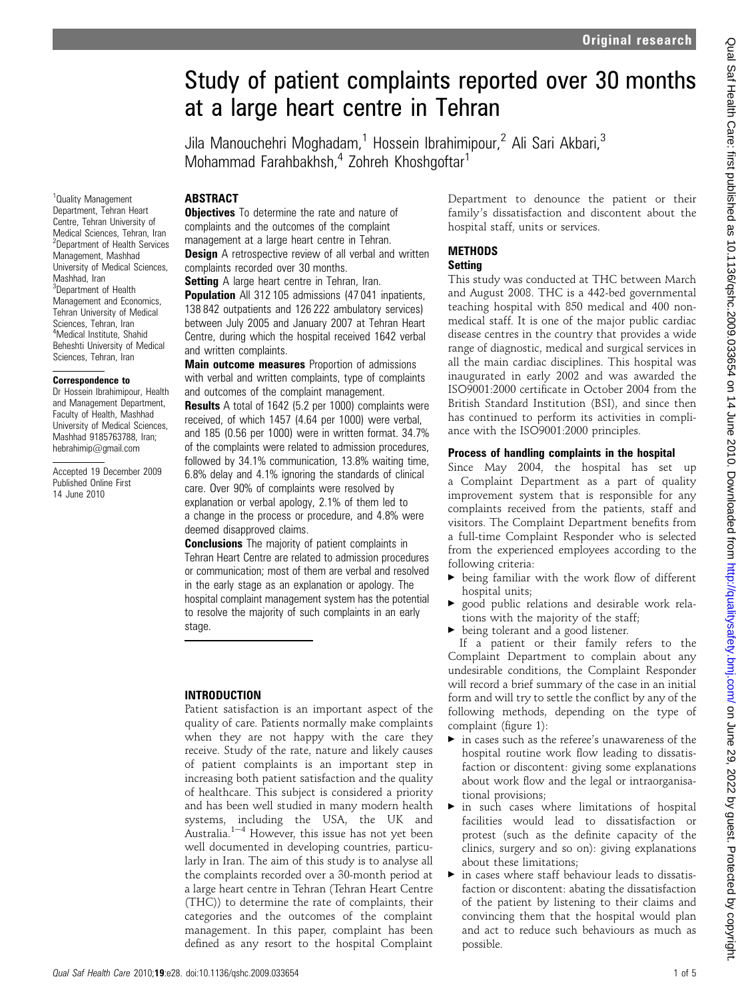# Study of patient complaints reported over 30 months at a large heart centre in Tehran

Jila Manouchehri Moghadam,<sup>1</sup> Hossein Ibrahimipour,<sup>2</sup> Ali Sari Akbari,<sup>3</sup> Mohammad Farahbakhsh,<sup>4</sup> Zohreh Khoshgoftar<sup>1</sup>

## **ABSTRACT**

<sup>1</sup>Quality Management Department, Tehran Heart Centre, Tehran University of Medical Sciences, Tehran, Iran <sup>2</sup>Department of Health Services Management, Mashhad University of Medical Sciences,

Mashhad, Iran 3 Department of Health Management and Economics, Tehran University of Medical Sciences, Tehran, Iran 4 Medical Institute, Shahid Beheshti University of Medical Sciences, Tehran, Iran Correspondence to Dr Hossein Ibrahimipour, Health and Management Department, Faculty of Health, Mashhad University of Medical Sciences, Mashhad 9185763788, Iran; hebrahimip@gmail.com Accepted 19 December 2009 Published Online First 14 June 2010

**Objectives** To determine the rate and nature of complaints and the outcomes of the complaint management at a large heart centre in Tehran. **Design** A retrospective review of all verbal and written complaints recorded over 30 months.

Setting A large heart centre in Tehran, Iran. Population All 312 105 admissions (47 041 inpatients, 138 842 outpatients and 126 222 ambulatory services) between July 2005 and January 2007 at Tehran Heart Centre, during which the hospital received 1642 verbal and written complaints.

Main outcome measures Proportion of admissions with verbal and written complaints, type of complaints and outcomes of the complaint management.

**Results** A total of 1642 (5.2 per 1000) complaints were received, of which 1457 (4.64 per 1000) were verbal, and 185 (0.56 per 1000) were in written format. 34.7% of the complaints were related to admission procedures, followed by 34.1% communication, 13.8% waiting time, 6.8% delay and 4.1% ignoring the standards of clinical care. Over 90% of complaints were resolved by explanation or verbal apology, 2.1% of them led to a change in the process or procedure, and 4.8% were deemed disapproved claims.

**Conclusions** The majority of patient complaints in Tehran Heart Centre are related to admission procedures or communication; most of them are verbal and resolved in the early stage as an explanation or apology. The hospital complaint management system has the potential to resolve the majority of such complaints in an early stage.

## INTRODUCTION

Patient satisfaction is an important aspect of the quality of care. Patients normally make complaints when they are not happy with the care they receive. Study of the rate, nature and likely causes of patient complaints is an important step in increasing both patient satisfaction and the quality of healthcare. This subject is considered a priority and has been well studied in many modern health systems, including the USA, the UK and<br>Australia.<sup>1–4</sup> However, this issue has not yet been well documented in developing countries, particularly in Iran. The aim of this study is to analyse all the complaints recorded over a 30-month period at a large heart centre in Tehran (Tehran Heart Centre (THC)) to determine the rate of complaints, their categories and the outcomes of the complaint management. In this paper, complaint has been defined as any resort to the hospital Complaint Department to denounce the patient or their family's dissatisfaction and discontent about the hospital staff, units or services.

#### **METHODS** Setting

This study was conducted at THC between March and August 2008. THC is a 442-bed governmental teaching hospital with 850 medical and 400 nonmedical staff. It is one of the major public cardiac disease centres in the country that provides a wide range of diagnostic, medical and surgical services in all the main cardiac disciplines. This hospital was inaugurated in early 2002 and was awarded the ISO9001:2000 certificate in October 2004 from the British Standard Institution (BSI), and since then has continued to perform its activities in compliance with the ISO9001:2000 principles.

## Process of handling complaints in the hospital

Since May 2004, the hospital has set up a Complaint Department as a part of quality improvement system that is responsible for any complaints received from the patients, staff and visitors. The Complaint Department benefits from a full-time Complaint Responder who is selected from the experienced employees according to the following criteria:

- $\blacktriangleright$  being familiar with the work flow of different hospital units;
- < good public relations and desirable work relations with the majority of the staff;
- being tolerant and a good listener.

If a patient or their family refers to the Complaint Department to complain about any undesirable conditions, the Complaint Responder will record a brief summary of the case in an initial form and will try to settle the conflict by any of the following methods, depending on the type of complaint (figure 1):

- $\blacktriangleright$  in cases such as the referee's unawareness of the hospital routine work flow leading to dissatisfaction or discontent: giving some explanations about work flow and the legal or intraorganisational provisions;
- $\blacktriangleright$  in such cases where limitations of hospital facilities would lead to dissatisfaction or protest (such as the definite capacity of the clinics, surgery and so on): giving explanations about these limitations;
- $\blacktriangleright$  in cases where staff behaviour leads to dissatisfaction or discontent: abating the dissatisfaction of the patient by listening to their claims and convincing them that the hospital would plan and act to reduce such behaviours as much as possible.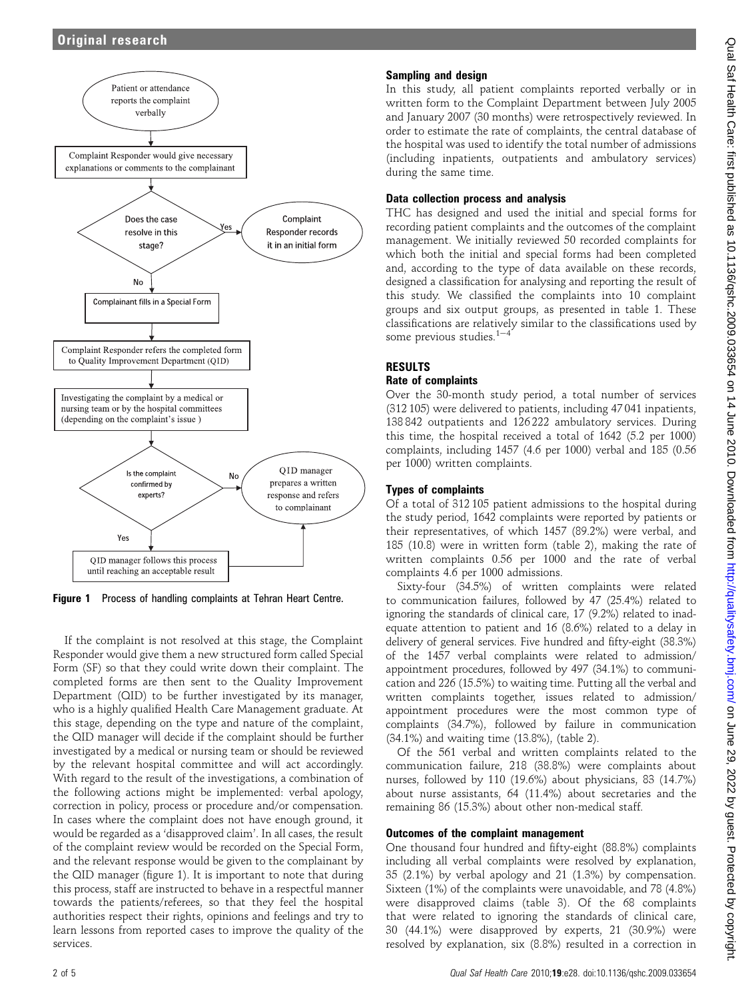

Figure 1 Process of handling complaints at Tehran Heart Centre.

If the complaint is not resolved at this stage, the Complaint Responder would give them a new structured form called Special Form (SF) so that they could write down their complaint. The completed forms are then sent to the Quality Improvement Department (QID) to be further investigated by its manager, who is a highly qualified Health Care Management graduate. At this stage, depending on the type and nature of the complaint, the QID manager will decide if the complaint should be further investigated by a medical or nursing team or should be reviewed by the relevant hospital committee and will act accordingly. With regard to the result of the investigations, a combination of the following actions might be implemented: verbal apology, correction in policy, process or procedure and/or compensation. In cases where the complaint does not have enough ground, it would be regarded as a 'disapproved claim'. In all cases, the result of the complaint review would be recorded on the Special Form, and the relevant response would be given to the complainant by the QID manager (figure 1). It is important to note that during this process, staff are instructed to behave in a respectful manner towards the patients/referees, so that they feel the hospital authorities respect their rights, opinions and feelings and try to learn lessons from reported cases to improve the quality of the services.

## Sampling and design

In this study, all patient complaints reported verbally or in written form to the Complaint Department between July 2005 and January 2007 (30 months) were retrospectively reviewed. In order to estimate the rate of complaints, the central database of the hospital was used to identify the total number of admissions (including inpatients, outpatients and ambulatory services) during the same time.

### Data collection process and analysis

THC has designed and used the initial and special forms for recording patient complaints and the outcomes of the complaint management. We initially reviewed 50 recorded complaints for which both the initial and special forms had been completed and, according to the type of data available on these records, designed a classification for analysing and reporting the result of this study. We classified the complaints into 10 complaint groups and six output groups, as presented in table 1. These classifications are relatively similar to the classifications used by some previous studies. $1-4$ 

## RESULTS

## Rate of complaints

Over the 30-month study period, a total number of services (312 105) were delivered to patients, including 47 041 inpatients, 138 842 outpatients and 126 222 ambulatory services. During this time, the hospital received a total of 1642 (5.2 per 1000) complaints, including 1457 (4.6 per 1000) verbal and 185 (0.56 per 1000) written complaints.

## Types of complaints

Of a total of 312 105 patient admissions to the hospital during the study period, 1642 complaints were reported by patients or their representatives, of which 1457 (89.2%) were verbal, and 185 (10.8) were in written form (table 2), making the rate of written complaints 0.56 per 1000 and the rate of verbal complaints 4.6 per 1000 admissions.

Sixty-four (34.5%) of written complaints were related to communication failures, followed by 47 (25.4%) related to ignoring the standards of clinical care, 17 (9.2%) related to inadequate attention to patient and 16 (8.6%) related to a delay in delivery of general services. Five hundred and fifty-eight (38.3%) of the 1457 verbal complaints were related to admission/ appointment procedures, followed by 497 (34.1%) to communication and 226 (15.5%) to waiting time. Putting all the verbal and written complaints together, issues related to admission/ appointment procedures were the most common type of complaints (34.7%), followed by failure in communication (34.1%) and waiting time (13.8%), (table 2).

Of the 561 verbal and written complaints related to the communication failure, 218 (38.8%) were complaints about nurses, followed by 110 (19.6%) about physicians, 83 (14.7%) about nurse assistants, 64 (11.4%) about secretaries and the remaining 86 (15.3%) about other non-medical staff.

### Outcomes of the complaint management

One thousand four hundred and fifty-eight (88.8%) complaints including all verbal complaints were resolved by explanation, 35 (2.1%) by verbal apology and 21 (1.3%) by compensation. Sixteen (1%) of the complaints were unavoidable, and 78 (4.8%) were disapproved claims (table 3). Of the 68 complaints that were related to ignoring the standards of clinical care, 30 (44.1%) were disapproved by experts, 21 (30.9%) were resolved by explanation, six (8.8%) resulted in a correction in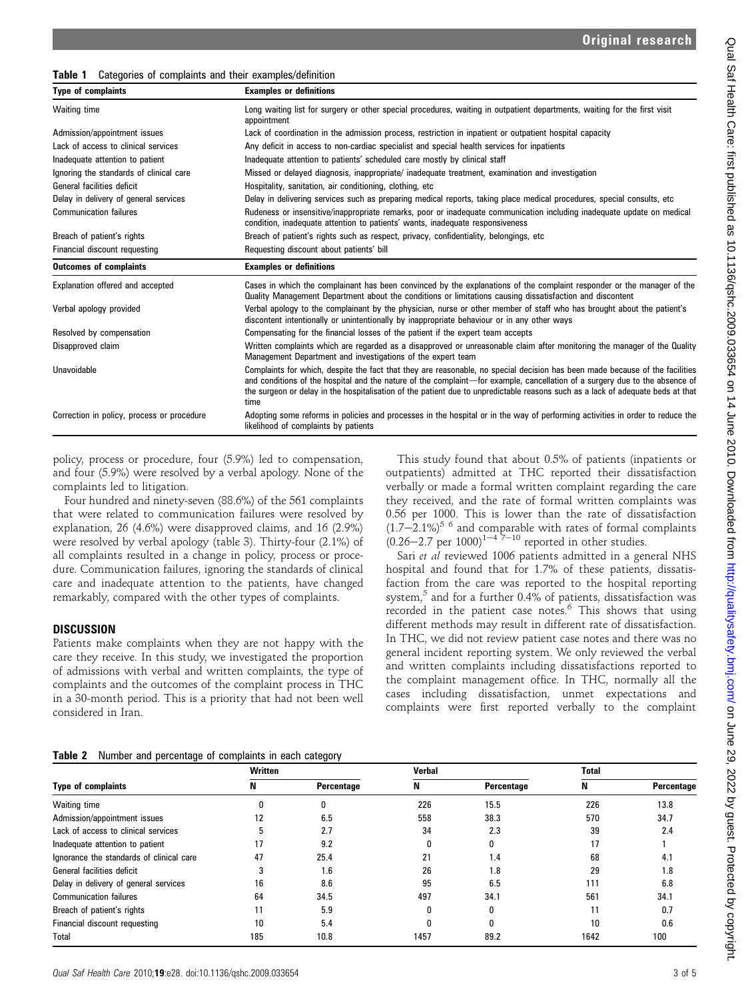Table 1 Categories of complaints and their examples/definition

| <b>Type of complaints</b>               | <b>Examples or definitions</b>                                                                                                                                                                                                                                                                                                                                                                 |  |  |  |  |  |
|-----------------------------------------|------------------------------------------------------------------------------------------------------------------------------------------------------------------------------------------------------------------------------------------------------------------------------------------------------------------------------------------------------------------------------------------------|--|--|--|--|--|
| Waiting time                            | Long waiting list for surgery or other special procedures, waiting in outpatient departments, waiting for the first visit<br>appointment                                                                                                                                                                                                                                                       |  |  |  |  |  |
| Admission/appointment issues            | Lack of coordination in the admission process, restriction in inpatient or outpatient hospital capacity                                                                                                                                                                                                                                                                                        |  |  |  |  |  |
| Lack of access to clinical services     | Any deficit in access to non-cardiac specialist and special health services for inpatients                                                                                                                                                                                                                                                                                                     |  |  |  |  |  |
| Inadequate attention to patient         | Inadequate attention to patients' scheduled care mostly by clinical staff                                                                                                                                                                                                                                                                                                                      |  |  |  |  |  |
| Ignoring the standards of clinical care | Missed or delayed diagnosis, inappropriate/ inadequate treatment, examination and investigation                                                                                                                                                                                                                                                                                                |  |  |  |  |  |
| General facilities deficit              | Hospitality, sanitation, air conditioning, clothing, etc.                                                                                                                                                                                                                                                                                                                                      |  |  |  |  |  |
| Delay in delivery of general services   | Delay in delivering services such as preparing medical reports, taking place medical procedures, special consults, etc                                                                                                                                                                                                                                                                         |  |  |  |  |  |
| <b>Communication failures</b>           | Rudeness or insensitive/inappropriate remarks, poor or inadequate communication including inadequate update on medical<br>condition, inadequate attention to patients' wants, inadequate responsiveness                                                                                                                                                                                        |  |  |  |  |  |
| Breach of patient's rights              | Breach of patient's rights such as respect, privacy, confidentiality, belongings, etc.                                                                                                                                                                                                                                                                                                         |  |  |  |  |  |
| Financial discount requesting           | Requesting discount about patients' bill                                                                                                                                                                                                                                                                                                                                                       |  |  |  |  |  |
| <b>Outcomes of complaints</b>           | <b>Examples or definitions</b>                                                                                                                                                                                                                                                                                                                                                                 |  |  |  |  |  |
| Explanation offered and accepted        | Cases in which the complainant has been convinced by the explanations of the complaint responder or the manager of the<br>Quality Management Department about the conditions or limitations causing dissatisfaction and discontent                                                                                                                                                             |  |  |  |  |  |
| Verbal apology provided                 | Verbal apology to the complainant by the physician, nurse or other member of staff who has brought about the patient's<br>discontent intentionally or unintentionally by inappropriate behaviour or in any other ways                                                                                                                                                                          |  |  |  |  |  |
| Resolved by compensation                | Compensating for the financial losses of the patient if the expert team accepts                                                                                                                                                                                                                                                                                                                |  |  |  |  |  |
| Disapproved claim                       | Written complaints which are regarded as a disapproved or unreasonable claim after monitoring the manager of the Quality<br>Management Department and investigations of the expert team                                                                                                                                                                                                        |  |  |  |  |  |
| Unavoidable                             | Complaints for which, despite the fact that they are reasonable, no special decision has been made because of the facilities<br>and conditions of the hospital and the nature of the complaint—for example, cancellation of a surgery due to the absence of<br>the surgeon or delay in the hospitalisation of the patient due to unpredictable reasons such as a lack of adequate beds at that |  |  |  |  |  |
|                                         | time                                                                                                                                                                                                                                                                                                                                                                                           |  |  |  |  |  |

policy, process or procedure, four (5.9%) led to compensation, and four (5.9%) were resolved by a verbal apology. None of the complaints led to litigation.

Four hundred and ninety-seven (88.6%) of the 561 complaints that were related to communication failures were resolved by explanation, 26 (4.6%) were disapproved claims, and 16 (2.9%) were resolved by verbal apology (table 3). Thirty-four (2.1%) of all complaints resulted in a change in policy, process or procedure. Communication failures, ignoring the standards of clinical care and inadequate attention to the patients, have changed remarkably, compared with the other types of complaints.

### **DISCUSSION**

Patients make complaints when they are not happy with the care they receive. In this study, we investigated the proportion of admissions with verbal and written complaints, the type of complaints and the outcomes of the complaint process in THC in a 30-month period. This is a priority that had not been well considered in Iran.

This study found that about 0.5% of patients (inpatients or outpatients) admitted at THC reported their dissatisfaction verbally or made a formal written complaint regarding the care they received, and the rate of formal written complaints was 0.56 per 1000. This is lower than the rate of dissatisfaction  $(1.7-2.1\%)$ <sup>5 6</sup> and comparable with rates of formal complaints  $(0.26-2.7 \text{ per } 1000)^{1-4}$ <sup>7-10</sup> reported in other studies.

Sari et al reviewed 1006 patients admitted in a general NHS hospital and found that for 1.7% of these patients, dissatisfaction from the care was reported to the hospital reporting system, $5$  and for a further 0.4% of patients, dissatisfaction was recorded in the patient case notes.<sup>6</sup> This shows that using different methods may result in different rate of dissatisfaction. In THC, we did not review patient case notes and there was no general incident reporting system. We only reviewed the verbal and written complaints including dissatisfactions reported to the complaint management office. In THC, normally all the cases including dissatisfaction, unmet expectations and complaints were first reported verbally to the complaint

### Table 2 Number and percentage of complaints in each category

| <b>Type of complaints</b>                | <b>Written</b> |            | <b>Verbal</b> |            | <b>Total</b> |                   |
|------------------------------------------|----------------|------------|---------------|------------|--------------|-------------------|
|                                          | N              | Percentage | N             | Percentage | N            | <b>Percentage</b> |
| Waiting time                             | 0              | n          | 226           | 15.5       | 226          | 13.8              |
| Admission/appointment issues             | 12             | 6.5        | 558           | 38.3       | 570          | 34.7              |
| Lack of access to clinical services      | h              | 2.7        | 34            | 2.3        | 39           | 2.4               |
| Inadequate attention to patient          | 17             | 9.2        | 0             | n          | 17           |                   |
| Ignorance the standards of clinical care | 47             | 25.4       | 21            | 1.4        | 68           | 4.1               |
| General facilities deficit               |                | 1.6        | 26            | 1.8        | 29           | 1.8               |
| Delay in delivery of general services    | 16             | 8.6        | 95            | 6.5        | 111          | 6.8               |
| <b>Communication failures</b>            | 64             | 34.5       | 497           | 34.1       | 561          | 34.1              |
| Breach of patient's rights               | 11             | 5.9        | 0             |            |              | 0.7               |
| Financial discount requesting            | 10             | 5.4        | n             | n          | 10           | 0.6               |
| <b>Total</b>                             | 185            | 10.8       | 1457          | 89.2       | 1642         | 100               |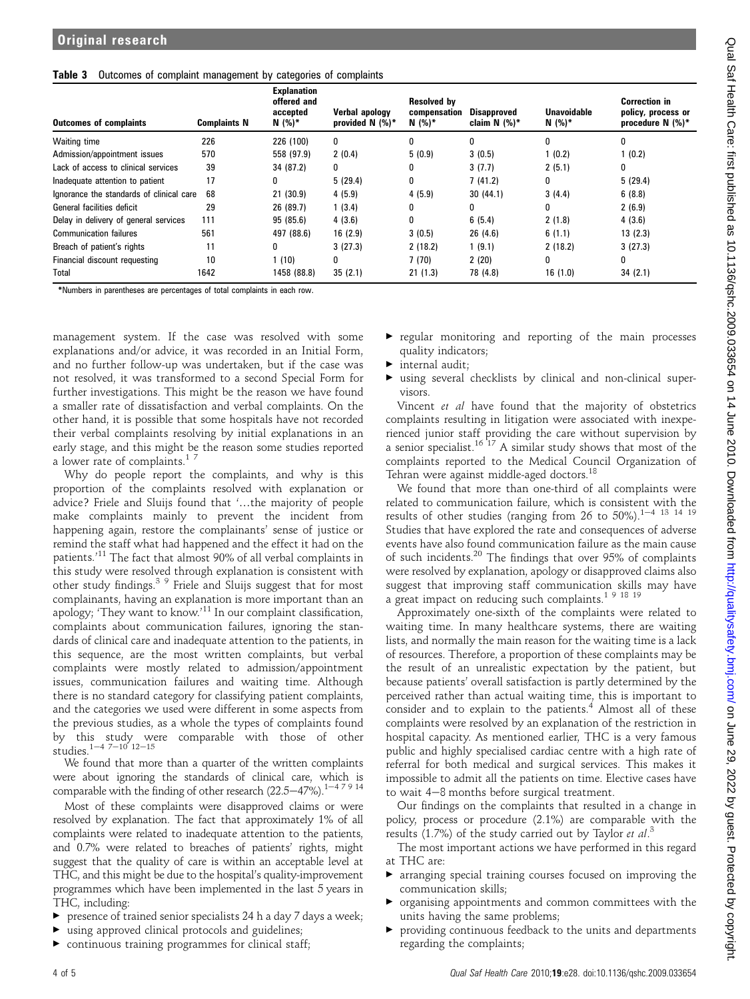### Table 3 Outcomes of complaint management by categories of complaints

| <b>Outcomes of complaints</b>            | <b>Complaints N</b> | <b>Explanation</b><br>offered and<br>accepted<br>$N$ $(%)^*$ | Verbal apology<br>provided $N$ $(\%)^*$ | <b>Resolved by</b><br>compensation<br>N (%)* | <b>Disapproved</b><br>claim $N$ $(%)^*$ | Unavoidable<br>$N$ $(%)^*$ | <b>Correction in</b><br>policy, process or<br>procedure $N$ (%)* |
|------------------------------------------|---------------------|--------------------------------------------------------------|-----------------------------------------|----------------------------------------------|-----------------------------------------|----------------------------|------------------------------------------------------------------|
| Waiting time                             | 226                 | 226 (100)                                                    | 0                                       | <sup>0</sup>                                 |                                         | 0                          | 0                                                                |
| Admission/appointment issues             | 570                 | 558 (97.9)                                                   | 2(0.4)                                  | 5(0.9)                                       | 3(0.5)                                  | (0.2)                      | (0.2)                                                            |
| Lack of access to clinical services      | 39                  | 34 (87.2)                                                    | 0                                       | 0                                            | 3(7.7)                                  | 2(5.1)                     | 0                                                                |
| Inadequate attention to patient          | 17                  | 0                                                            | 5(29.4)                                 | 0                                            | 7(41.2)                                 | 0                          | 5(29.4)                                                          |
| Ignorance the standards of clinical care | 68                  | 21(30.9)                                                     | 4(5.9)                                  | 4(5.9)                                       | 30(44.1)                                | 3(4.4)                     | 6(8.8)                                                           |
| General facilities deficit               | 29                  | 26 (89.7)                                                    | 1(3.4)                                  | 0                                            | 0                                       | 0                          | 2(6.9)                                                           |
| Delay in delivery of general services    | 111                 | 95 (85.6)                                                    | 4(3.6)                                  | 0                                            | 6(5.4)                                  | 2(1.8)                     | 4(3.6)                                                           |
| <b>Communication failures</b>            | 561                 | 497 (88.6)                                                   | 16(2.9)                                 | 3(0.5)                                       | 26(4.6)                                 | 6(1.1)                     | 13(2.3)                                                          |
| Breach of patient's rights               | 11                  | 0                                                            | 3(27.3)                                 | 2(18.2)                                      | 1(9.1)                                  | 2(18.2)                    | 3(27.3)                                                          |
| Financial discount requesting            | 10                  | 1(10)                                                        | 0                                       | 7(70)                                        | 2(20)                                   | 0                          | 0                                                                |
| Total                                    | 1642                | 1458 (88.8)                                                  | 35(2.1)                                 | 21(1.3)                                      | 78 (4.8)                                | 16(1.0)                    | 34(2.1)                                                          |

\*Numbers in parentheses are percentages of total complaints in each row.

management system. If the case was resolved with some explanations and/or advice, it was recorded in an Initial Form, and no further follow-up was undertaken, but if the case was not resolved, it was transformed to a second Special Form for further investigations. This might be the reason we have found a smaller rate of dissatisfaction and verbal complaints. On the other hand, it is possible that some hospitals have not recorded their verbal complaints resolving by initial explanations in an early stage, and this might be the reason some studies reported a lower rate of complaints.<sup>17</sup>

Why do people report the complaints, and why is this proportion of the complaints resolved with explanation or advice? Friele and Sluijs found that '...the majority of people make complaints mainly to prevent the incident from happening again, restore the complainants' sense of justice or remind the staff what had happened and the effect it had on the patients.' <sup>11</sup> The fact that almost 90% of all verbal complaints in this study were resolved through explanation is consistent with other study findings.3 9 Friele and Sluijs suggest that for most complainants, having an explanation is more important than an apology; 'They want to know.'<sup>11</sup> In our complaint classification, complaints about communication failures, ignoring the standards of clinical care and inadequate attention to the patients, in this sequence, are the most written complaints, but verbal complaints were mostly related to admission/appointment issues, communication failures and waiting time. Although there is no standard category for classifying patient complaints, and the categories we used were different in some aspects from the previous studies, as a whole the types of complaints found by this study were comparable with those of other studies.<sup>1-4 7-10</sup> 12-15

We found that more than a quarter of the written complaints were about ignoring the standards of clinical care, which is comparable with the finding of other research  $(22.5-47\%)$ .<sup>1-47914</sup>

Most of these complaints were disapproved claims or were resolved by explanation. The fact that approximately 1% of all complaints were related to inadequate attention to the patients, and 0.7% were related to breaches of patients' rights, might suggest that the quality of care is within an acceptable level at THC, and this might be due to the hospital's quality-improvement programmes which have been implemented in the last 5 years in THC, including:

- ▶ presence of trained senior specialists 24 h a day 7 days a week;
- < using approved clinical protocols and guidelines;
- < continuous training programmes for clinical staff;
- $\blacktriangleright$  regular monitoring and reporting of the main processes quality indicators;
- $\blacktriangleright$  internal audit:
- $\triangleright$  using several checklists by clinical and non-clinical supervisors.

Vincent et al have found that the majority of obstetrics complaints resulting in litigation were associated with inexperienced junior staff providing the care without supervision by a senior specialist.<sup>16 17</sup> A similar study shows that most of the complaints reported to the Medical Council Organization of Tehran were against middle-aged doctors.<sup>18</sup>

We found that more than one-third of all complaints were related to communication failure, which is consistent with the results of other studies (ranging from 26 to 50%).<sup>1-4 13</sup> <sup>14</sup> <sup>19</sup> Studies that have explored the rate and consequences of adverse events have also found communication failure as the main cause of such incidents.<sup>20</sup> The findings that over 95% of complaints were resolved by explanation, apology or disapproved claims also suggest that improving staff communication skills may have a great impact on reducing such complaints.<sup>1 9 18 19</sup>

Approximately one-sixth of the complaints were related to waiting time. In many healthcare systems, there are waiting lists, and normally the main reason for the waiting time is a lack of resources. Therefore, a proportion of these complaints may be the result of an unrealistic expectation by the patient, but because patients' overall satisfaction is partly determined by the perceived rather than actual waiting time, this is important to consider and to explain to the patients.<sup>4</sup> Almost all of these complaints were resolved by an explanation of the restriction in hospital capacity. As mentioned earlier, THC is a very famous public and highly specialised cardiac centre with a high rate of referral for both medical and surgical services. This makes it impossible to admit all the patients on time. Elective cases have to wait  $4-8$  months before surgical treatment.

Our findings on the complaints that resulted in a change in policy, process or procedure (2.1%) are comparable with the results  $(1.7%)$  of the study carried out by Taylor et al.<sup>3</sup>

The most important actions we have performed in this regard at THC are:

- $\blacktriangleright$  arranging special training courses focused on improving the communication skills;
- < organising appointments and common committees with the units having the same problems;
- < providing continuous feedback to the units and departments regarding the complaints;